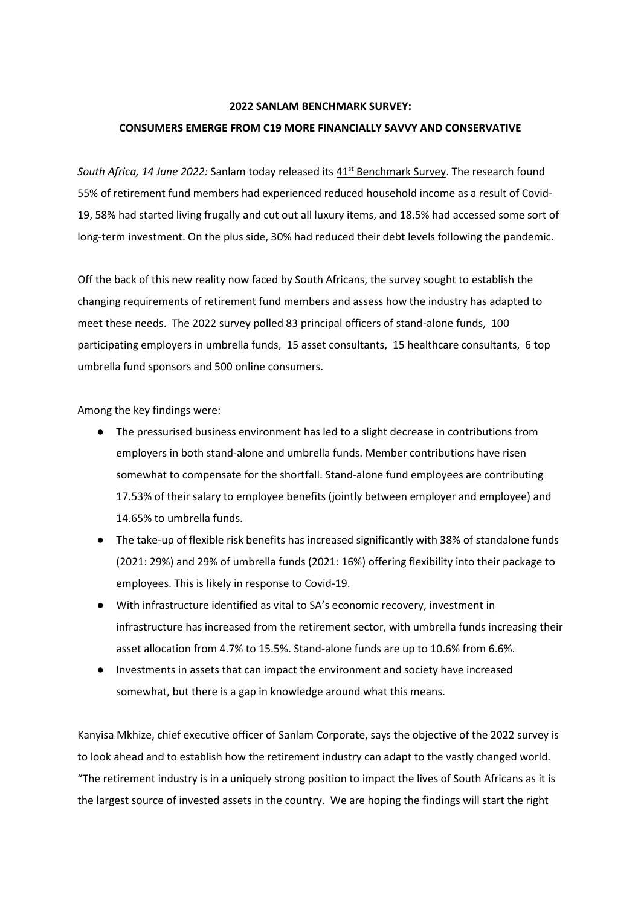#### **2022 SANLAM BENCHMARK SURVEY:**

### **CONSUMERS EMERGE FROM C19 MORE FINANCIALLY SAVVY AND CONSERVATIVE**

*South Africa, 14 June 2022:* Sanlam today released its [41](https://www.sanlam.co.za/corporate/retirement/benchmarksurvey/Pages/default.aspx)[st](https://www.sanlam.co.za/corporate/retirement/benchmarksurvey/Pages/default.aspx) [Benchmark Survey.](https://www.sanlam.co.za/corporate/retirement/benchmarksurvey/Pages/default.aspx) The research found 55% of retirement fund members had experienced reduced household income as a result of Covid-19, 58% had started living frugally and cut out all luxury items, and 18.5% had accessed some sort of long-term investment. On the plus side, 30% had reduced their debt levels following the pandemic.

Off the back of this new reality now faced by South Africans, the survey sought to establish the changing requirements of retirement fund members and assess how the industry has adapted to meet these needs. The 2022 survey polled 83 principal officers of stand-alone funds, 100 participating employers in umbrella funds, 15 asset consultants, 15 healthcare consultants, 6 top umbrella fund sponsors and 500 online consumers.

Among the key findings were:

- The pressurised business environment has led to a slight decrease in contributions from employers in both stand-alone and umbrella funds. Member contributions have risen somewhat to compensate for the shortfall. Stand-alone fund employees are contributing 17.53% of their salary to employee benefits (jointly between employer and employee) and 14.65% to umbrella funds.
- The take-up of flexible risk benefits has increased significantly with 38% of standalone funds (2021: 29%) and 29% of umbrella funds (2021: 16%) offering flexibility into their package to employees. This is likely in response to Covid-19.
- With infrastructure identified as vital to SA's economic recovery, investment in infrastructure has increased from the retirement sector, with umbrella funds increasing their asset allocation from 4.7% to 15.5%. Stand-alone funds are up to 10.6% from 6.6%.
- Investments in assets that can impact the environment and society have increased somewhat, but there is a gap in knowledge around what this means.

Kanyisa Mkhize, chief executive officer of Sanlam Corporate, says the objective of the 2022 survey is to look ahead and to establish how the retirement industry can adapt to the vastly changed world. "The retirement industry is in a uniquely strong position to impact the lives of South Africans as it is the largest source of invested assets in the country. We are hoping the findings will start the right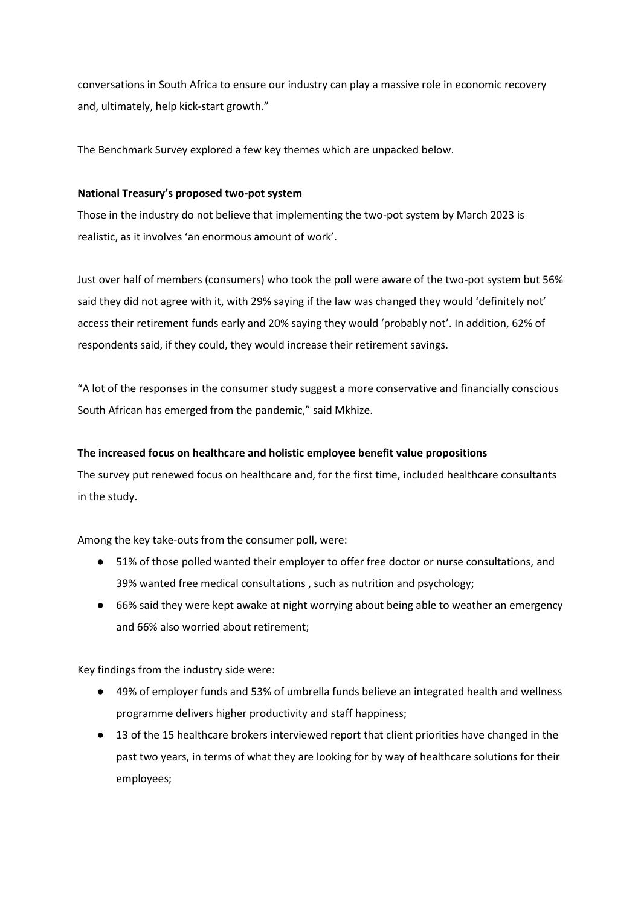conversations in South Africa to ensure our industry can play a massive role in economic recovery and, ultimately, help kick-start growth."

The Benchmark Survey explored a few key themes which are unpacked below.

## **National Treasury's proposed two-pot system**

Those in the industry do not believe that implementing the two-pot system by March 2023 is realistic, as it involves 'an enormous amount of work'.

Just over half of members (consumers) who took the poll were aware of the two-pot system but 56% said they did not agree with it, with 29% saying if the law was changed they would 'definitely not' access their retirement funds early and 20% saying they would 'probably not'. In addition, 62% of respondents said, if they could, they would increase their retirement savings.

"A lot of the responses in the consumer study suggest a more conservative and financially conscious South African has emerged from the pandemic," said Mkhize.

# **The increased focus on healthcare and holistic employee benefit value propositions**

The survey put renewed focus on healthcare and, for the first time, included healthcare consultants in the study.

Among the key take-outs from the consumer poll, were:

- 51% of those polled wanted their employer to offer free doctor or nurse consultations, and 39% wanted free medical consultations , such as nutrition and psychology;
- 66% said they were kept awake at night worrying about being able to weather an emergency and 66% also worried about retirement;

Key findings from the industry side were:

- 49% of employer funds and 53% of umbrella funds believe an integrated health and wellness programme delivers higher productivity and staff happiness;
- 13 of the 15 healthcare brokers interviewed report that client priorities have changed in the past two years, in terms of what they are looking for by way of healthcare solutions for their employees;